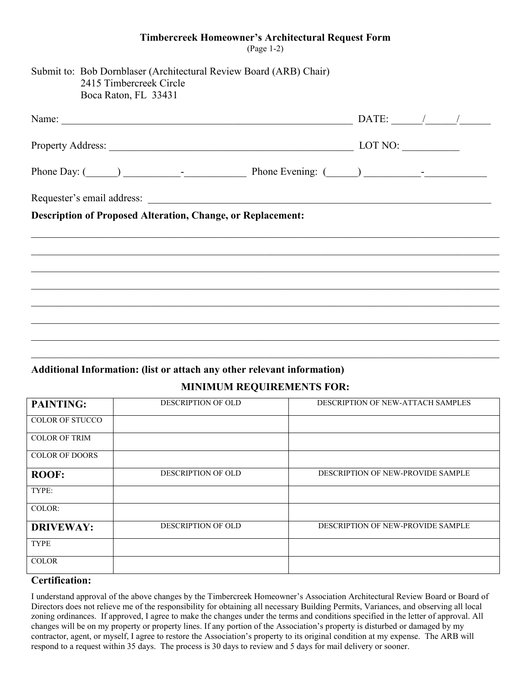#### **Timbercreek Homeowner's Architectural Request Form**

(Page 1-2)

| Submit to: Bob Dornblaser (Architectural Review Board (ARB) Chair)<br>2415 Timbercreek Circle<br>Boca Raton, FL 33431 |                               |  |
|-----------------------------------------------------------------------------------------------------------------------|-------------------------------|--|
| Name:                                                                                                                 | DATE: $\frac{1}{\sqrt{2\pi}}$ |  |
|                                                                                                                       | LOT NO:                       |  |
|                                                                                                                       |                               |  |
| <b>Description of Proposed Alteration, Change, or Replacement:</b>                                                    |                               |  |
|                                                                                                                       |                               |  |
|                                                                                                                       |                               |  |
|                                                                                                                       |                               |  |
|                                                                                                                       |                               |  |
|                                                                                                                       |                               |  |

#### **Additional Information: (list or attach any other relevant information) MINIMUM REQUIREMENTS FOR:**

| MINIMUM REQUIREMENTS FOR: |                           |                                   |  |
|---------------------------|---------------------------|-----------------------------------|--|
| <b>PAINTING:</b>          | <b>DESCRIPTION OF OLD</b> | DESCRIPTION OF NEW-ATTACH SAMPLES |  |
| COLOR OF STUCCO           |                           |                                   |  |
| COLOR OF TRIM             |                           |                                   |  |
| COLOR OF DOORS            |                           |                                   |  |
| <b>ROOF:</b>              | <b>DESCRIPTION OF OLD</b> | DESCRIPTION OF NEW-PROVIDE SAMPLE |  |
| TYPE:                     |                           |                                   |  |
| COLOR:                    |                           |                                   |  |
| <b>DRIVEWAY:</b>          | <b>DESCRIPTION OF OLD</b> | DESCRIPTION OF NEW-PROVIDE SAMPLE |  |
| TYPE                      |                           |                                   |  |
| <b>COLOR</b>              |                           |                                   |  |

#### **Certification:**

I understand approval of the above changes by the Timbercreek Homeowner's Association Architectural Review Board or Board of Directors does not relieve me of the responsibility for obtaining all necessary Building Permits, Variances, and observing all local zoning ordinances. If approved, I agree to make the changes under the terms and conditions specified in the letter of approval. All changes will be on my property or property lines. If any portion of the Association's property is disturbed or damaged by my contractor, agent, or myself, I agree to restore the Association's property to its original condition at my expense. The ARB will respond to a request within 35 days. The process is 30 days to review and 5 days for mail delivery or sooner.